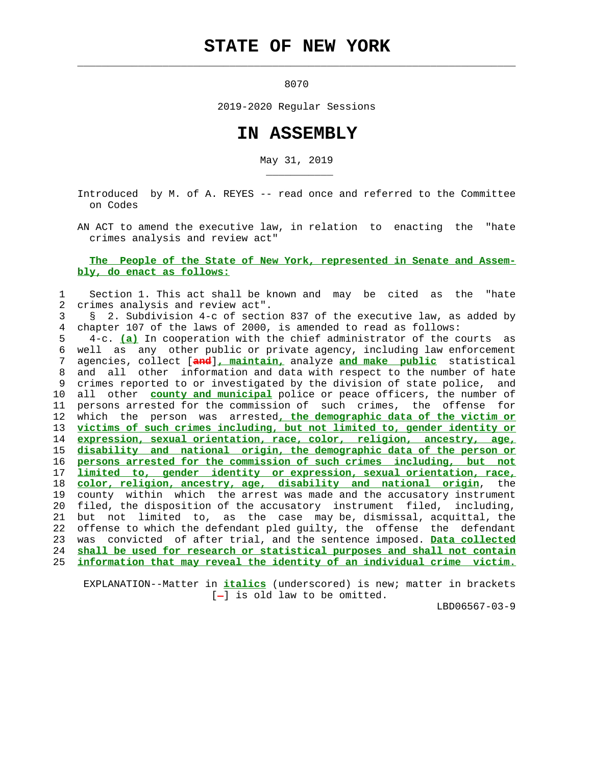# **STATE OF NEW YORK**

 $\mathcal{L}_\text{max} = \frac{1}{2} \sum_{i=1}^{n} \frac{1}{2} \sum_{i=1}^{n} \frac{1}{2} \sum_{i=1}^{n} \frac{1}{2} \sum_{i=1}^{n} \frac{1}{2} \sum_{i=1}^{n} \frac{1}{2} \sum_{i=1}^{n} \frac{1}{2} \sum_{i=1}^{n} \frac{1}{2} \sum_{i=1}^{n} \frac{1}{2} \sum_{i=1}^{n} \frac{1}{2} \sum_{i=1}^{n} \frac{1}{2} \sum_{i=1}^{n} \frac{1}{2} \sum_{i=1}^{n} \frac{1$ 

\_\_\_\_\_\_\_\_\_\_\_

and the state of the state of the state of the state of the state of the state of the state of the state of th

2019-2020 Regular Sessions

# **IN ASSEMBLY**

May 31, 2019

 Introduced by M. of A. REYES -- read once and referred to the Committee on Codes

 AN ACT to amend the executive law, in relation to enacting the "hate crimes analysis and review act"

#### **The People of the State of New York, represented in Senate and Assem bly, do enact as follows:**

## 1 Section 1. This act shall be known and may be cited as the "hate 2 crimes analysis and review act".

 3 § 2. Subdivision 4-c of section 837 of the executive law, as added by 4 chapter 107 of the laws of 2000, is amended to read as follows:

 5 4-c. **(a)** In cooperation with the chief administrator of the courts as 6 well as any other public or private agency, including law enforcement 7 agencies, collect [**and**]**, maintain,** analyze **and make public** statistical 8 and all other information and data with respect to the number of hate 9 crimes reported to or investigated by the division of state police, and 10 all other **county and municipal** police or peace officers, the number of 11 persons arrested for the commission of such crimes, the offense for 12 which the person was arrested**, the demographic data of the victim or** 13 **victims of such crimes including, but not limited to, gender identity or** 14 **expression, sexual orientation, race, color, religion, ancestry, age,** 15 **disability and national origin, the demographic data of the person or** 16 **persons arrested for the commission of such crimes including, but not** 17 **limited to, gender identity or expression, sexual orientation, race,** 18 **color, religion, ancestry, age, disability and national origin**, the 19 county within which the arrest was made and the accusatory instrument 20 filed, the disposition of the accusatory instrument filed, including, 21 but not limited to, as the case may be, dismissal, acquittal, the 22 offense to which the defendant pled guilty, the offense the defendant 23 was convicted of after trial, and the sentence imposed. **Data collected** 24 **shall be used for research or statistical purposes and shall not contain** 25 **information that may reveal the identity of an individual crime victim.**

 EXPLANATION--Matter in **italics** (underscored) is new; matter in brackets  $[-]$  is old law to be omitted.

LBD06567-03-9